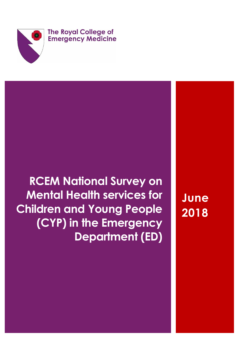

# **RCEM National Survey on Mental Health services for Children and Young People (CYP) in the Emergency Department (ED)**

**June 2018**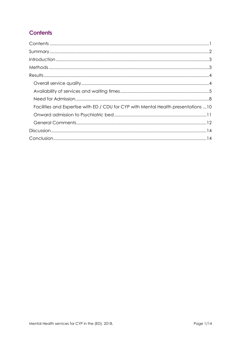# <span id="page-1-0"></span>**Contents**

| Facilities and Expertise with ED / CDU for CYP with Mental Health presentations 10 |
|------------------------------------------------------------------------------------|
|                                                                                    |
|                                                                                    |
|                                                                                    |
|                                                                                    |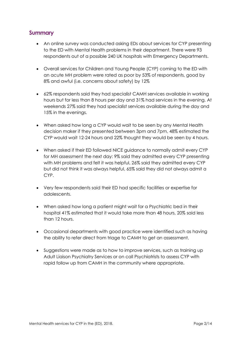# <span id="page-2-0"></span>**Summary**

- An online survey was conducted asking EDs about services for CYP presenting to the ED with Mental Health problems in their department. There were 93 respondents out of a possible 240 UK hospitals with Emergency Departments.
- Overall services for Children and Young People (CYP) coming to the ED with an acute MH problem were rated as poor by 53% of respondents, good by 8% and awful (i.e. concerns about safety) by 12%
- 62% respondents said they had specialist CAMH services available in working hours but for less than 8 hours per day and 31% had services in the evening. At weekends 27% said they had specialist services available during the day and 15% in the evenings.
- When asked how long a CYP would wait to be seen by any Mental Health decision maker if they presented between 3pm and 7pm, 48% estimated the CYP would wait 12-24 hours and 22% thought they would be seen by 4 hours.
- When asked if their ED followed NICE guidance to normally admit every CYP for MH assessment the next day: 9% said they admitted every CYP presenting with MH problems and felt it was helpful, 26% said they admitted every CYP but did not think it was always helpful, 65% said they did not always admit a CYP.
- Very few respondents said their ED had specific facilities or expertise for adolescents.
- When asked how long a patient might wait for a Psychiatric bed in their hospital 41% estimated that it would take more than 48 hours, 20% said less than 12 hours.
- Occasional departments with good practice were identified such as having the ability to refer direct from triage to CAMH to get an assessment.
- Suggestions were made as to how to improve services, such as training up Adult Liaison Psychiatry Services or on call Psychiatrists to assess CYP with rapid follow up from CAMH in the community where appropriate.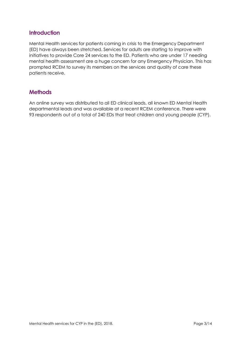# <span id="page-3-0"></span>**Introduction**

Mental Health services for patients coming in crisis to the Emergency Department (ED) have always been stretched. Services for adults are starting to improve with initiatives to provide Core 24 services to the ED. Patients who are under 17 needing mental health assessment are a huge concern for any Emergency Physician. This has prompted RCEM to survey its members on the services and quality of care these patients receive.

# <span id="page-3-1"></span>**Methods**

An online survey was distributed to all ED clinical leads, all known ED Mental Health departmental leads and was available at a recent RCEM conference. There were 93 respondents out of a total of 240 EDs that treat children and young people (CYP).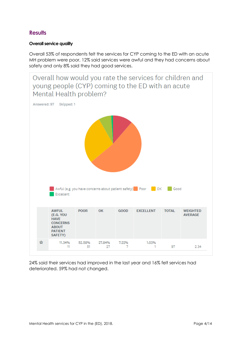# <span id="page-4-0"></span>**Results**

### <span id="page-4-1"></span>**Overall service quality**

Overall 53% of respondents felt the services for CYP coming to the ED with an acute MH problem were poor, 12% said services were awful and they had concerns about safety and only 8% said they had good services.



24% said their services had improved in the last year and 16% felt services had deteriorated. 59% had not changed.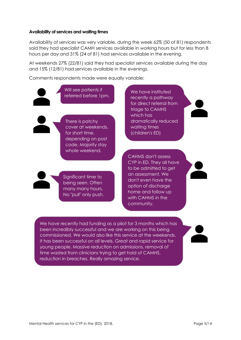#### <span id="page-5-0"></span>**Availability of services and waiting times**

Availability of services was very variable, during the week 62% (50 of 81) respondents said they had specialist CAMH services available in working hours but for less than 8 hours per day and 31% (24 of 81) had services available in the evening.

At weekends 27% (22/81) said they had specialist services available during the day and 15% (12/81) had services available in the evenings.

Comments respondents made were equally variable:



Will see patients if referred before 1pm.

There is patchy cover at weekends, for short time, depending on post code. Majority stay whole weekend.

Significant time to being seen. Often many many hours. No "pull" only push.

We have instituted recently a pathway for direct referral from triage to CAMHS which has dramatically reduced waiting times (children's ED)

CAHMS don't assess CYP in ED. They all have to be admitted to get an assessment. We don't even have the option of discharge home and follow up with CAHMS in the community.

We have recently had funding as a pilot for 3 months which has been incredibly successful and we are working on this being commissioned. We would also like this service at the weekends. It has been successful on all levels. Great and rapid service for young people. Massive reduction on admissions, removal of time wasted from clinicians trying to get hold of CAMHS, reduction in breaches. Really amazing service.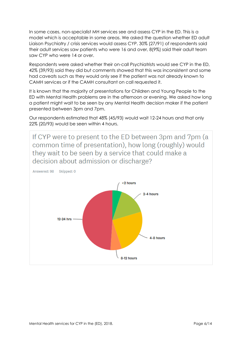In some cases, non-specialist MH services see and assess CYP in the ED. This is a model which is acceptable in some areas. We asked the question whether ED adult Liaison Psychiatry / crisis services would assess CYP. 30% (27/91) of respondents said their adult services saw patients who were 16 and over, 8(9%) said their adult team saw CYP who were 14 or over.

Respondents were asked whether their on-call Psychiatrists would see CYP in the ED, 42% (39/93) said they did but comments showed that this was inconsistent and some had caveats such as they would only see if the patient was not already known to CAMH services or if the CAMH consultant on call requested it.

It is known that the majority of presentations for Children and Young People to the ED with Mental Health problems are in the afternoon or evening. We asked how long a patient might wait to be seen by any Mental Health decision maker if the patient presented between 3pm and 7pm.

Our respondents estimated that 48% (45/93) would wait 12-24 hours and that only 22% (20/93) would be seen within 4 hours.

If CYP were to present to the ED between 3pm and 7pm (a common time of presentation), how long (roughly) would they wait to be seen by a service that could make a decision about admission or discharge?

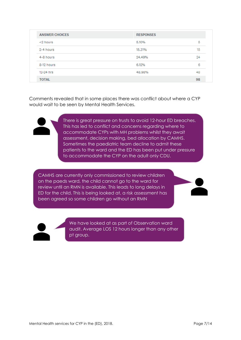| <b>ANSWER CHOICES</b> | <b>RESPONSES</b> |    |
|-----------------------|------------------|----|
| $<$ 2 hours           | 5.10%            | 5  |
| 2-4 hours             | 15.31%           | 15 |
| 4-8 hours             | 24.49%           | 24 |
| 8-12 hours            | 6.12%            | 6  |
| 12-24 hrs             | 48.98%           | 48 |
| <b>TOTAL</b>          |                  | 98 |

Comments revealed that in some places there was conflict about where a CYP would wait to be seen by Mental Health Services.



There is great pressure on trusts to avoid 12-hour ED breaches. This has led to conflict and concerns regarding where to accommodate CYPs with MH problems whilst they await assessment, decision making, bed allocation by CAMHS. Sometimes the paediatric team decline to admit these patients to the ward and the ED has been put under pressure to accommodate the CYP on the adult only CDU.

CAMHS are currently only commissioned to review children on the paeds ward, the child cannot go to the ward for review until an RMN is available. This leads to long delays in ED for the child. This is being looked at, a risk assessment has been agreed so some children go without an RMN



We have looked at as part of Observation ward audit. Average LOS 12 hours longer than any other pt group.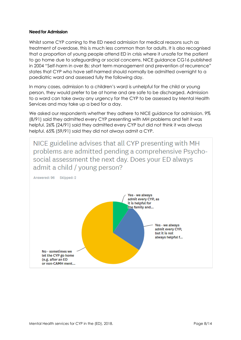#### <span id="page-8-0"></span>**Need for Admission**

Whilst some CYP coming to the ED need admission for medical reasons such as treatment of overdose, this is much less common than for adults. It is also recognised that a proportion of young people attend ED in crisis where it unsafe for the patient to go home due to safeguarding or social concerns. NICE guidance CG16 published in 2004 "Self-harm in over 8s: short term management and prevention of recurrence" states that CYP who have self-harmed should normally be admitted overnight to a paediatric ward and assessed fully the following day.

In many cases, admission to a children's ward is unhelpful for the child or young person, they would prefer to be at home and are safe to be discharged. Admission to a ward can take away any urgency for the CYP to be assessed by Mental Health Services and may take up a bed for a day.

We asked our respondents whether they adhere to NICE guidance for admission. 9% (8/91) said they admitted every CYP presenting with MH problems and felt it was helpful. 26% (24/91) said they admitted every CYP but did not think it was always helpful. 65% (59/91) said they did not always admit a CYP.

NICE guideline advises that all CYP presenting with MH problems are admitted pending a comprehensive Psychosocial assessment the next day. Does your ED always admit a child / young person? Answered: 96 Skipped: 2 Yes - we always admit every CYP, as it is helpful for the family and... Yes - we always admit every CYP, but it is not always helpful f... No - sometimes we let the CYP go home (e.g. after an ED or non-CAMH ment...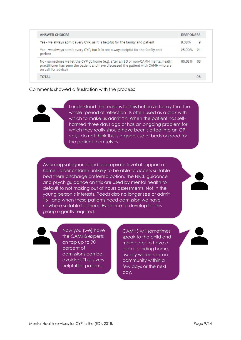| <b>ANSWER CHOICES</b>                                                                                                                                                                          |        | <b>RESPONSES</b> |  |
|------------------------------------------------------------------------------------------------------------------------------------------------------------------------------------------------|--------|------------------|--|
| Yes - we always admit every CYP, as it is helpful for the family and patient                                                                                                                   | 9.38%  | 9                |  |
| Yes - we always admit every CYP, but it is not always helpful for the family and<br>patient                                                                                                    | 25.00% | -94              |  |
| No - sometimes we let the CYP go home (e.g. after an ED or non-CAMH mental health<br>practitioner has seen the patient and have discussed the patient with CAMH who are<br>on call for advice) | 65.63% | - 63             |  |
| TOTAL                                                                                                                                                                                          |        | 96               |  |

Comments showed a frustration with the process:



I understand the reasons for this but have to say that the whole 'period of reflection' Is often used as a stick with which to make us admit YP. When the patient has selfharmed three days ago or has an ongoing problem for which they really should have been slotted into an OP slot, I do not think this is a good use of beds or good for the patient themselves.

Assuming safeguards and appropriate level of support at home - older children unlikely to be able to access suitable bed there discharge preferred option. The NICE guidance and psych guidance on this are used by mental health to default to not making out of hours assessments. Not in the young person's interests. Paeds also no longer see or admit 16+ and when these patients need admission we have nowhere suitable for them. Evidence to develop for this group urgently required.

Now you (we) have the CAMHS experts on tap up to 90 percent of admissions can be avoided. This is very helpful for patients.

CAMHS will sometimes speak to the child and main carer to have a plan if sending home, usually will be seen in community within a few days or the next day.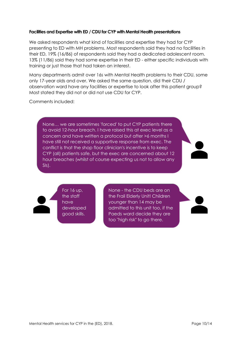#### <span id="page-10-0"></span>**Facilities and Expertise with ED / CDU for CYP with Mental Health presentations**

We asked respondents what kind of facilities and expertise they had for CYP presenting to ED with MH problems. Most respondents said they had no facilities in their ED, 19% (16/86) of respondents said they had a dedicated adolescent room. 13% (11/86) said they had some expertise in their ED - either specific individuals with training or just those that had taken an interest.

Many departments admit over 16s with Mental Health problems to their CDU, some only 17-year olds and over. We asked the same question, did their CDU / observation ward have any facilities or expertise to look after this patient group? Most stated they did not or did not use CDU for CYP.

Comments included:

None… we are sometimes 'forced' to put CYP patients there to avoid 12-hour breach. I have raised this at exec level as a concern and have written a protocol but after >6 months I have still not received a supportive response from exec. The conflict is that the shop floor clinician's incentive is to keep CYP (all) patients safe, but the exec are concerned about 12 hour breaches (whilst of course expecting us not to allow any SIs).

For  $16$  up, the staff have developed good skills.

None - the CDU beds are on the Frail Elderly Unit! Children younger than 14 may be admitted to this unit too, if the Paeds ward decide they are too "high risk" to go there.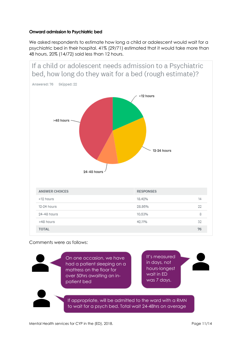### <span id="page-11-0"></span>**Onward admission to Psychiatric bed**

We asked respondents to estimate how long a child or adolescent would wait for a psychiatric bed in their hospital. 41% (29/71) estimated that it would take more than 48 hours, 20% (14/72) said less than 12 hours.



Comments were as follows:

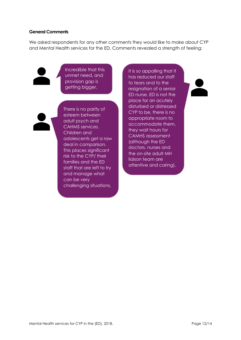#### <span id="page-12-0"></span>**General Comments**

We asked respondents for any other comments they would like to make about CYP and Mental Health services for the ED. Comments revealed a strength of feeling:



Incredible that this unmet need, and provision gap is getting bigger.



There is no parity of esteem between adult psych and CAHMS services. Children and adolescents get a raw deal in comparison. This places significant risk to the CYP/ their families and the ED staff that are left to try and manage what can be very challenging situations.

It is so appalling that it has reduced our staff to tears and to the resignation of a senior ED nurse. ED is not the place for an acutely disturbed or distressed CYP to be, there is no appropriate room to accommodate them, they wait hours for CAMHS assessment (although the ED doctors, nurses and the on-site adult MH liaison team are attentive and caring).

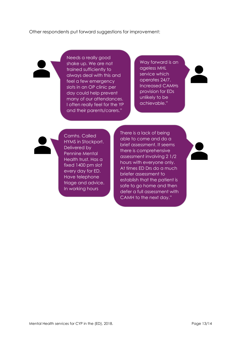Other respondents put forward suggestions for improvement:

Needs a really good shake up. We are not trained sufficiently to always deal with this and feel a few emergency slots in an OP clinic per day could help prevent many of our attendances. I often really feel for the YP and their parents/carers."

Way forward is an ageless MHL service which operates 24/7. Increased CAMHs provision for EDs unlikely to be achievable."



Camhs. Called HYMS in Stockport. Delivered by Pennine Mental Health trust. Has a fixed 1400 pm slot every day for ED. Have telephone triage and advice. In working hours

There is a lack of being able to come and do a brief assessment. It seems there is comprehensive assessment involving 2 1/2 hours with everyone only. At times ED Drs do a much briefer assessment to establish that the patient is safe to go home and then defer a full assessment with CAMH to the next day."